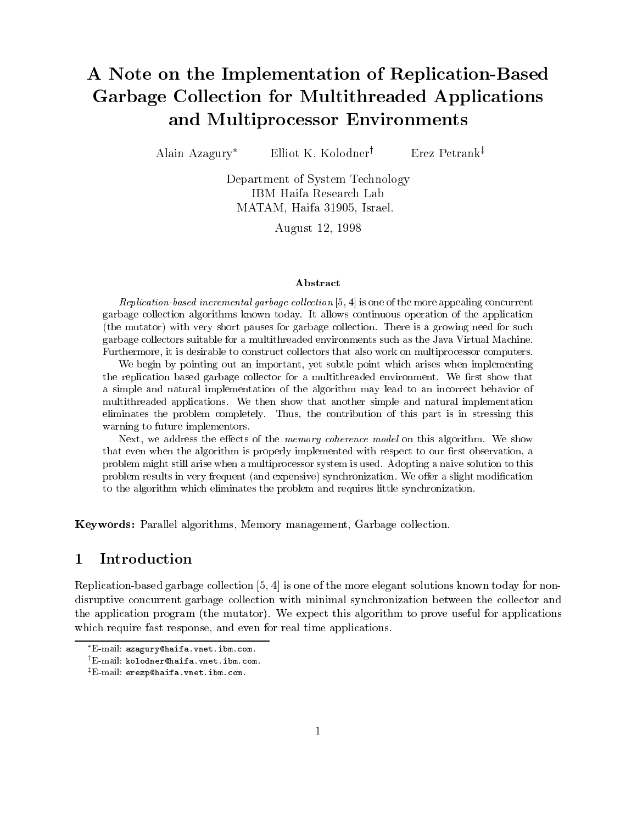# A Note on the Implementation of Replication-Based Garbage Collection for Multithreaded Applications and Multiprocessor Environments

Alain Azagury\* Elliot K. Kolodner<sup>†</sup> Erez Petrank<sup>‡</sup>

Department of System Technology IBM Haifa Research Lab MATAM Haifa - Israel

August

### Abstract

 $new$  as a more memory quite collection  $\mathcal{O}, \mathcal{H}$  is one of the more appealing concurrent garbage collection algorithms known today It allows continuous operation of the application (the mutator) with very short pauses for garbage collection. There is a growing need for such garbage collectors suitable for a multithreaded environments such as the Java Virtual Machine Furthermore- it is desirable to construct collectors that also work on multiprocessor computers

we begin by pointing out an important, for subtle points where when in international  $\pi$ the replication based garbage collector for a multithreaded environment. We first show that a simple and natural implementation of the algorithm may lead to an incorrect behavior of multithreaded applications We then show that another simple and natural implementation eliminates the problem completely Thus- the contribution of this part is in stressing this warning to future implementors

next-common the memory contracts of the memory coherence model on the memory coherence model on the model of t that even when the algorithm is properly implemented with respect to our rst observation- a problem might still arise when a multiprocessor system is used Adopting a naive solution to this problem results in very frequent (and expensive) synchronization. We offer a slight modification to the algorithm which eliminates the problem and requires little synchronization

Keywords Parallel algorithms Memory management Garbage collection

### $\mathbf 1$ Introduction

Replication-based garbage collection is one of the more elegant solutions known today for nondisruptive concurrent garbage collection with minimal synchronization between the collector and the application program (the mutator). We expect this algorithm to prove useful for applications which require fast response, and even for real time applications.

E-mail azagury@haifa.vnet.ibm.com.

<sup>&#</sup>x27;E-mail kolodner@haifa.vnet.ibm.com.

 $^\mathrm{\tau}$ E-mail erezp@naifa.vnet.ibm.com.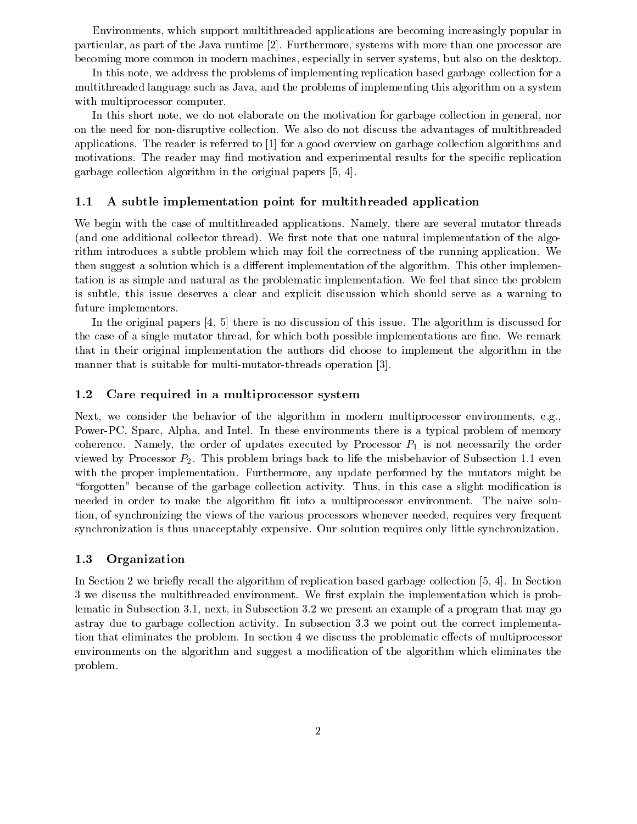Environments, which support multithreaded applications are becoming increasingly popular in particular as part of the Java runtime Furthermore systems with more than one processor are becoming more common in modern machines, especially in server systems, but also on the desktop.

In this note, we address the problems of implementing replication based garbage collection for a multithreaded language such as Java and the problems of implementing this algorithm on a system with multiprocessor computer.

In this short note, we do not elaborate on the motivation for garbage collection in general, nor on the need for non-disruptive collection We also do not discuss the advantages of multithreaded applications. The reader is referred to  $\left[1\right]$  for a good overview on garbage collection algorithms and motivations. The reader may find motivation and experimental results for the specific replication garbage collection algorithm in the original papers

## A subtle implementation point for multithreaded application

We begin with the case of multithreaded applications. Namely, there are several mutator threads (and one additional collector thread). We first note that one natural implementation of the algorithm introduces a subtle problem which may foil the correctness of the running application. We then suggest a solution which is a different implementation of the algorithm. This other implementation is as simple and natural as the problematic implementation We feel that since the problem is subtle, this issue deserves a clear and explicit discussion which should serve as a warning to future implementors

In the original papers  $\left[4, 5\right]$  there is no discussion of this issue. The algorithm is discussed for the case of a single mutator thread, for which both possible implementations are fine. We remark that in their original implementation the authors did choose to implement the algorithm in the manner that is suitable for multi-section of multi-sections operations of  $\mathbb{F}_p$ 

#### 1.2 Care required in a multiprocessor system

Next, we consider the behavior of the algorithm in modern multiprocessor environments, e.g., Power-PC Sparc Alpha and Intel In these environments there is a typical problem of memory coherence. Namely, the order of updates executed by Processor  $P_1$  is not necessarily the order viewed by Processor  $P_2$ . This problem brings back to life the misbehavior of Subsection 1.1 even with the proper implementation. Furthermore, any update performed by the mutators might be "forgotten" because of the garbage collection activity. Thus, in this case a slight modification is needed in order to make the algorithm fit into a multiprocessor environment. The naive solution, of synchronizing the views of the various processors whenever needed, requires very frequent synchronization is thus unacceptably expensive. Our solution requires only little synchronization.

### 1.3 Organization

In Section 2. In Section based garbage collection based garbage collection based garbage collection based garbage collection  $\mathcal{A}$ 3 we discuss the multithreaded environment. We first explain the implementation which is probrematic in Subsection and Modell in Subsection and the program that manufacture of a program that may go astray due to garbage collection activity. In subsection 3.3 we point out the correct implementation that eliminates the problem. In section 4 we discuss the problematic effects of multiprocessor environments on the algorithm and suggest a modification of the algorithm which eliminates the problem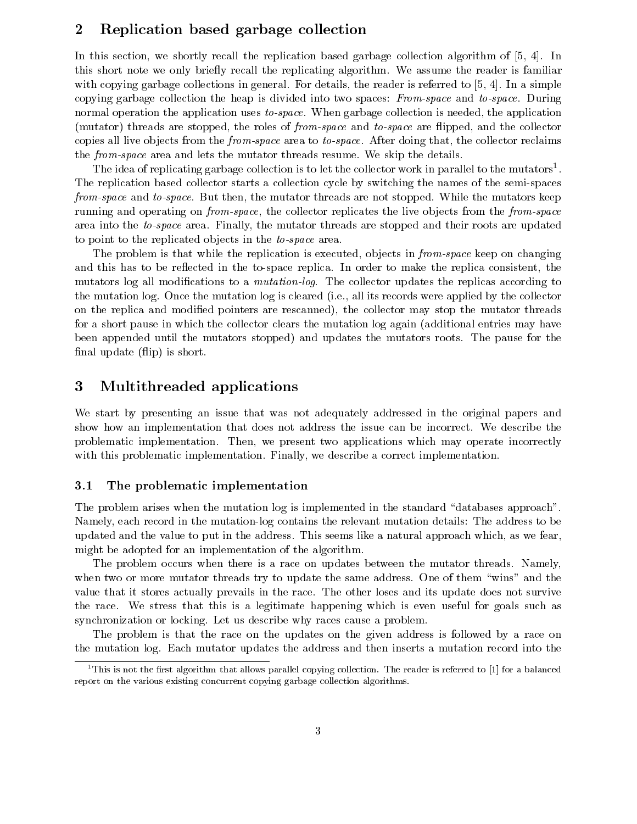### Replication based garbage collection  $\bf{2}$

In this section, we shortly recall the replication based garbage collection algorithm of  $[5, 4]$ . In this short note we only briefly recall the replicating algorithm. We assume the reader is familiar with copying garbage collections in general. For details, the reader is referred to  $[5, 4]$ . In a simple copying garbage collection the heap is divided into two spaces: From-space and to-space. During normal operation the application uses to-space. When garbage collection is needed, the application (mutator) threads are stopped, the roles of *from-space* and *to-space* are flipped, and the collector copies all live objects from the *from-space* area to *to-space*. After doing that, the collector reclaims the from-space area and lets the mutator threads resume. We skip the details.

The idea of replicating garbage collection is to let the collector work in parallel to the mutators<sup>1</sup>. The replication based collector starts a collection cycle by switching the names of the semi-spaces from-space and to-space. But then, the mutator threads are not stopped. While the mutators keep running and operating on *from-space*, the collector replicates the live objects from the *from-space* area into the to-space area. Finally, the mutator threads are stopped and their roots are updated to point to the replicated objects in the  $to-space$  area.

The problem is that while the replication is executed, objects in *from-space* keep on changing and this has to be reected in the to-space replica In order to make the replica consistent the mutators log all modifications to a *mutation-log*. The collector updates the replicas according to the mutation log. Once the mutation log is cleared (i.e., all its records were applied by the collector on the replica and modified pointers are rescanned), the collector may stop the mutator threads for a short pause in which the collector clears the mutation log again (additional entries may have been appended until the mutators stopped) and updates the mutators roots. The pause for the final update  $(flip)$  is short.

### $\boldsymbol{3}$ Multithreaded applications

We start by presenting an issue that was not adequately addressed in the original papers and show how an implementation that does not address the issue can be incorrect We describe the problematic implementation. Then, we present two applications which may operate incorrectly with this problematic implementation. Finally, we describe a correct implementation.

# 3.1 The problematic implementation

The problem arises when the mutation  $log$  is implemented in the standard "databases approach". Namely each record in the mutation-log contains the relevant mutation details The address to be updated and the value to put in the address This seems like a natural approach which as we fear might be adopted for an implementation of the algorithm

The problem occurs when there is a race on updates between the mutator threads. Namely, when two or more mutator threads try to update the same address. One of them "wins" and the value that it stores actually prevails in the race The other loses and its update does not survive the race We stress that this is a legitimate happening which is even useful for goals such as synchronization or locking. Let us describe why races cause a problem.

The problem is that the race on the updates on the given address is followed by a race on the mutation log Each mutator updates the address and then inserts a mutation record into the

This is not the first algorithm that allows parallel copying collection. The reader is referred to  $\sqcap$  for a balanced  $\sqcap$ report on the various existing concurrent copying garbage collection algorithms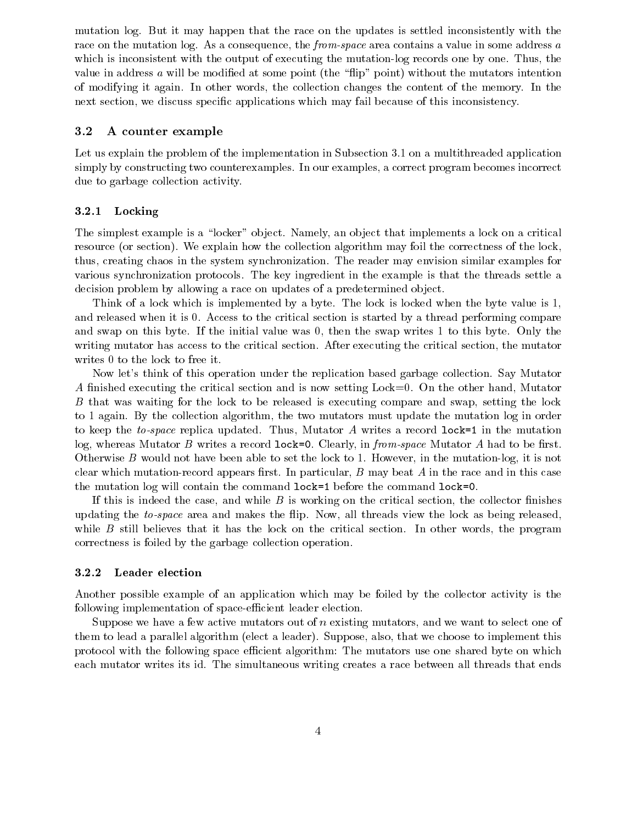mutation log. But it may happen that the race on the updates is settled inconsistently with the race on the mutation log. As a consequence, the *from-space* area contains a value in some address a which is inconsistent with the output of executing the mutation-log records one by one Thus the value in address  $\alpha$  will be modified at some point (the "flip" point) without the mutators intention of modifying it again In other words the collection changes the content of the memory In the next section, we discuss specific applications which may fail because of this inconsistency.

#### 3.2 A counter example

Let us explain the problem of the implementation in Subsection 3.1 on a multithreaded application simply by constructing two counterexamples. In our examples, a correct program becomes incorrect due to garbage collection activity

### Locking

The simplest example is a "locker" object. Namely, an object that implements a lock on a critical resource (or section). We explain how the collection algorithm may foil the correctness of the lock. thus creating chaos in the system synchronization The reader may envision similar examples for various synchronization protocols The key ingredient in the example is that the threads settle a decision problem by allowing a race on updates of a predetermined object.

Think of a lock which is implemented by a byte. The lock is locked when the byte value is 1. and released when it is 0. Access to the critical section is started by a thread performing compare and swap on this byte. If the initial value was  $0$ , then the swap writes 1 to this byte. Only the writing mutator has access to the critical section. After executing the critical section, the mutator writes  $0$  to the lock to free it.

Now let's think of this operation under the replication based garbage collection. Say Mutator A finished executing the critical section and is now setting  $Lock = 0$ . On the other hand, Mutator B that was waiting for the lock to be released is executing compare and swap, setting the lock to 1 again. By the collection algorithm, the two mutators must update the mutation log in order to keep the to-space replica updated. Thus, Mutator A writes a record lock=1 in the mutation log whereas Mutator B writes a record lock- Clearly in fromspace Mutator A had to be rst Otherwise B would not have been able to set the lock to However in the mutation-log it is not record which mutation- record appears reply the matrix and particularly a short in this case and in this case of  $\mathcal{L}_{\mathbf{c}}$  and  $\mathcal{L}_{\mathbf{c}}$  will contain the commutation of commutation the commutation of  $\mathcal{L}_{\mathbf{c}}$ 

If this is indeed the case, and while  $B$  is working on the critical section, the collector finishes updating the to-space area and makes the flip. Now, all threads view the lock as being released, while  $B$  still believes that it has the lock on the critical section. In other words, the program correctness is foiled by the garbage collection operation

#### ----Leader election

Another possible example of an application which may be foiled by the collector activity is the following implementation of space-ecient leader election

Suppose we have a few active mutators out of  $n$  existing mutators, and we want to select one of them to lead a parallel algorithm (elect a leader). Suppose, also, that we choose to implement this protocol with the following space efficient algorithm: The mutators use one shared byte on which each mutator writes its id. The simultaneous writing creates a race between all threads that ends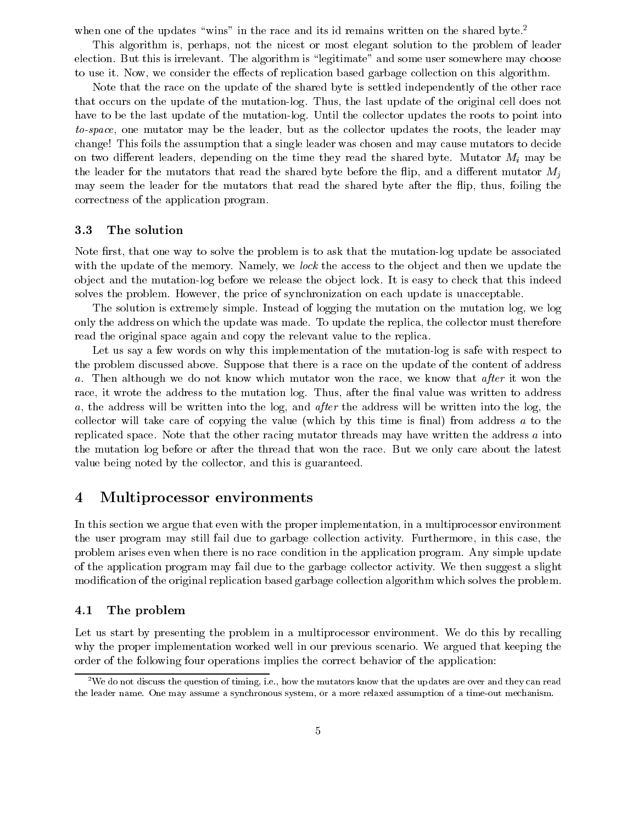when one of the updates "wins" in the race and its id remains written on the shared byte.<sup>2</sup>

This algorithm is, perhaps, not the nicest or most elegant solution to the problem of leader election. But this is irrelevant. The algorithm is "legitimate" and some user somewhere may choose to use it. Now, we consider the effects of replication based garbage collection on this algorithm.

Note that the race on the update of the shared byte is settled independently of the other race that occurs on the update of the mutation-log Thus the last update of the original cell does not have to be the last update of the mutation-log Until the collector updates the roots to point into to-space, one mutator may be the leader, but as the collector updates the roots, the leader may change! This foils the assumption that a single leader was chosen and may cause mutators to decide on two different leaders, depending on the time they read the shared byte. Mutator  $M_i$  may be the leader for the mutators that read the shared byte before the flip, and a different mutator  $M_i$ may seem the leader for the mutators that read the shared byte after the flip, thus, foiling the correctness of the application program

### 3.3 The solution

Note rst that one way to solve the problem is to ask that the mutation-log update be associated with the update of the memory. Namely, we lock the access to the object and then we update the ob ject and the mutation-log before we release the ob ject lock It is easy to check that this indeed solves the problem. However, the price of synchronization on each update is unacceptable.

The solution is extremely simple. Instead of logging the mutation on the mutation log, we log only the address on which the update was made. To update the replica, the collector must therefore read the original space again and copy the relevant value to the replica

Let us say a few words on why this implementation of the mutation-log is safe with respect to the problem discussed above Suppose that there is a race on the update of the content of address a. Then although we do not know which mutator won the race, we know that after it won the race, it wrote the address to the mutation log. Thus, after the final value was written to address a, the address will be written into the log, and after the address will be written into the log, the collector will take care of copying the value (which by this time is final) from address a to the replicated space. Note that the other racing mutator threads may have written the address  $a$  into the mutation log before or after the thread that won the race But we only care about the latest value being noted by the collector, and this is guaranteed.

# Multiprocessor environments

In this section we argue that even with the proper implementation, in a multiprocessor environment the user program may still fail due to garbage collection activity. Furthermore, in this case, the problem arises even when there is no race condition in the application program Any simple update of the application program may fail due to the garbage collector activity We then suggest a slight modification of the original replication based garbage collection algorithm which solves the problem.

# 4.1 The problem

Let us start by presenting the problem in a multiprocessor environment. We do this by recalling why the proper implementation worked well in our previous scenario. We argued that keeping the order of the following four operations implies the correct behavior of the application

 $^2$ We do not discuss the question of timing, i.e., how the mutators know that the updates are over and they can read the leader name One may assume a synchronous system or a more relaxed assumption of a timeout mechanism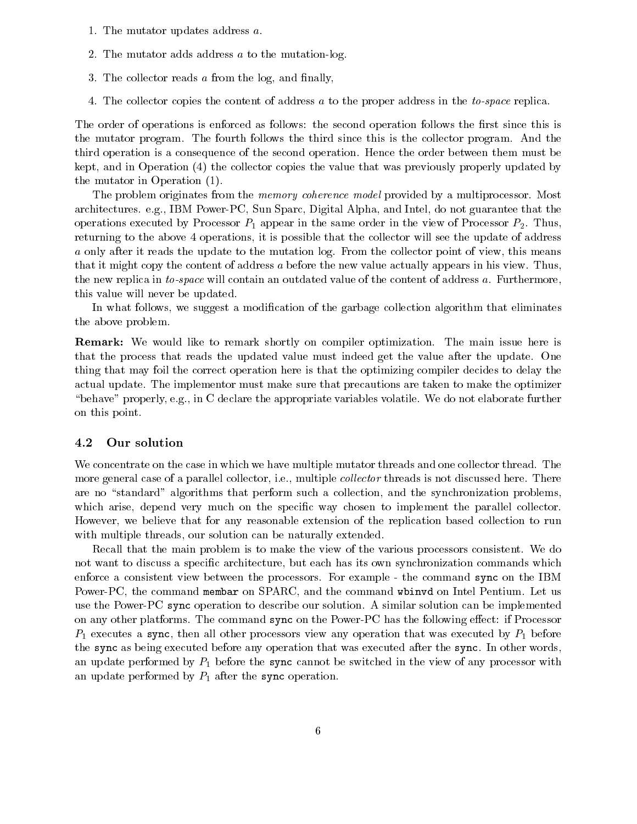- 1. The mutator updates address  $a$ .
- The mutator adds address a to the mutation-log
- 3. The collector reads  $a$  from the log, and finally,
- 4. The collector copies the content of address a to the proper address in the *to-space* replica.

The order of operations is enforced as follows: the second operation follows the first since this is the mutator program. The fourth follows the third since this is the collector program. And the third operation is a consequence of the second operation Hence the order between them must be kept, and in Operation  $(4)$  the collector copies the value that was previously properly updated by the mutator in Operation 

The problem originates from the *memory coherence model* provided by a multiprocessor. Most architectures eg IBM Power-PC Sun Sparc Digital Alpha and Intel do not guarantee that the operations executed by Processor  $P_1$  appear in the same order in the view of Processor  $P_2$ . Thus, returning to the above 4 operations, it is possible that the collector will see the update of address a only after it reads the update to the mutation log. From the collector point of view, this means that it might copy the content of address  $a$  before the new value actually appears in his view. Thus, the new replica in to-space will contain an outdated value of the content of address a. Furthermore. this value will never be updated

In what follows, we suggest a modification of the garbage collection algorithm that eliminates the above problem

Remark We would like to remark shortly on compiler optimization The main issue here is that the process that reads the updated value must indeed get the value after the update One thing that may foil the correct operation here is that the optimizing compiler decides to delay the actual update. The implementor must make sure that precautions are taken to make the optimizer "behave" properly, e.g., in C declare the appropriate variables volatile. We do not elaborate further on this point

#### 4.2 Our solution

We concentrate on the case in which we have multiple mutator threads and one collector thread. The more general case of a parallel collector, i.e., multiple *collector* threads is not discussed here. There are no "standard" algorithms that perform such a collection, and the synchronization problems. which arise, depend very much on the specific way chosen to implement the parallel collector. However, we believe that for any reasonable extension of the replication based collection to run with multiple threads, our solution can be naturally extended.

Recall that the main problem is to make the view of the various processors consistent. We do not want to discuss a specific architecture, but each has its own synchronization commands which enforce a commentant view between the processors For example, The communicating sync on the IBM Common the IBM Power-PC the command membar on SPARC and the command wbinvd on Intel Pentium Let us use the Power-PC sync operation to describe our solution A similar solution can be implemented on any other platforms The command sync on the Power-PC has the following eect if Processor  $P_1$  executes a sync, then all other processors view any operation that was executed by  $P_1$  before the sync as being executed before any operation that was executed after the sync In other words an update performed by  $P_1$  before the sync cannot be switched in the view of any processor with an update performed by  $P_1$  after the sync operation.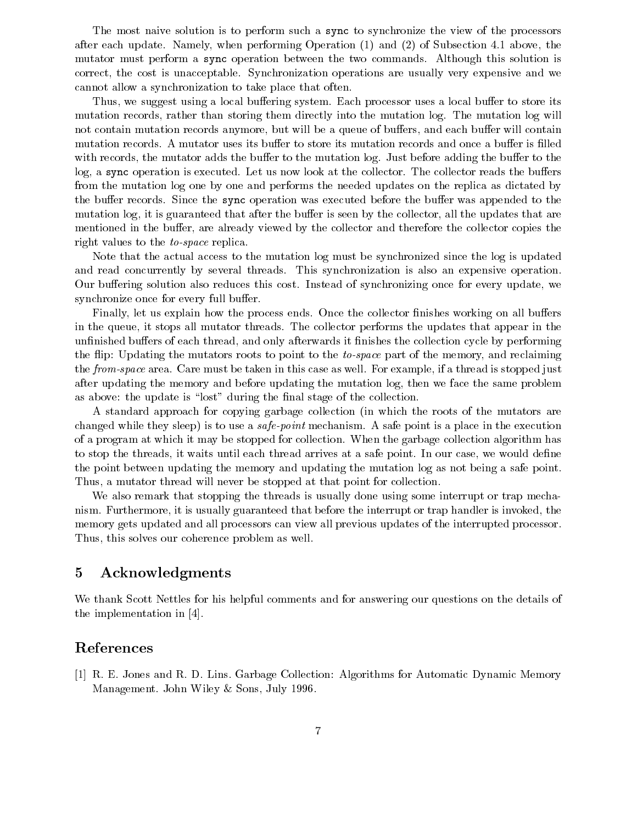The most naive solution is to perform such a sync to synchronize the view of the processors after each update Namely when performing Operation  $\mathcal{M}$  and  $\mathcal{M}$  and  $\mathcal{M}$  are subsection  $\mathcal{M}$ mutator must perform a sync operation between the two commands Although this solution is correct, the cost is unacceptable. Synchronization operations are usually very expensive and we cannot allow a synchronization to take place that often

Thus, we suggest using a local buffering system. Each processor uses a local buffer to store its mutation records, rather than storing them directly into the mutation log. The mutation log will not contain mutation records anymore, but will be a queue of buffers, and each buffer will contain mutation records. A mutator uses its buffer to store its mutation records and once a buffer is filled with records, the mutator adds the buffer to the mutation log. Just before adding the buffer to the log, a sync operation is executed. Let us now look at the collector. The collector reads the buffers from the mutation log one by one and performs the needed updates on the replica as dictated by the buffer records. Since the sync operation was executed before the buffer was appended to the mutation log, it is guaranteed that after the buffer is seen by the collector, all the updates that are mentioned in the buffer, are already viewed by the collector and therefore the collector copies the right values to the *to-space* replica.

Note that the actual access to the mutation log must be synchronized since the log is updated and read concurrently by several threads. This synchronization is also an expensive operation. Our buffering solution also reduces this cost. Instead of synchronizing once for every update, we synchronize once for every full buffer.

Finally, let us explain how the process ends. Once the collector finishes working on all buffers in the queue it stops all mutator threads The collector performs the updates that appear in the unfinished buffers of each thread, and only afterwards it finishes the collection cycle by performing the flip: Updating the mutators roots to point to the to-space part of the memory, and reclaiming the *from-space* area. Care must be taken in this case as well. For example, if a thread is stopped just after updating the memory and before updating the mutation log, then we face the same problem as above: the update is "lost" during the final stage of the collection.

A standard approach for copying garbage collection (in which the roots of the mutators are changed while they sleep) is to use a *safe-point* mechanism. A safe point is a place in the execution of a program at which it may be stopped for collection When the garbage collection algorithm has to stop the threads, it waits until each thread arrives at a safe point. In our case, we would define the point between updating the memory and updating the mutation log as not being a safe point Thus, a mutator thread will never be stopped at that point for collection.

We also remark that stopping the threads is usually done using some interrupt or trap mechanism. Furthermore, it is usually guaranteed that before the interrupt or trap handler is invoked, the memory gets updated and all processors can view all previous updates of the interrupted processor Thus, this solves our coherence problem as well.

### $\overline{5}$ Acknowledgments

We thank Scott Nettles for his helpful comments and for answering our questions on the details of the implementation in [4].

# References

[1] R. E. Jones and R. D. Lins. Garbage Collection: Algorithms for Automatic Dynamic Memory Management. John Wiley & Sons, July 1996.